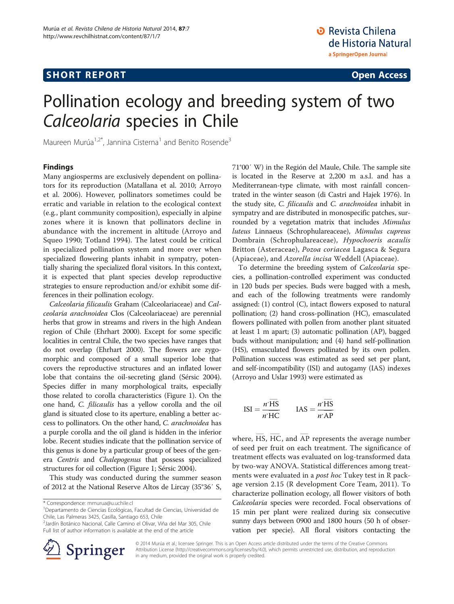# **SHORT REPORT CONSUMING THE CONSUMING SHORT REPORT**

# Pollination ecology and breeding system of two Calceolaria species in Chile

Maureen Murúa<sup>1,2\*</sup>, Jannina Cisterna<sup>1</sup> and Benito Rosende<sup>3</sup>

### Findings

Many angiosperms are exclusively dependent on pollinators for its reproduction (Matallana et al. [2010](#page-2-0); Arroyo et al. [2006\)](#page-2-0). However, pollinators sometimes could be erratic and variable in relation to the ecological context (e.g., plant community composition), especially in alpine zones where it is known that pollinators decline in abundance with the increment in altitude (Arroyo and Squeo [1990;](#page-2-0) Totland [1994](#page-2-0)). The latest could be critical in specialized pollination system and more over when specialized flowering plants inhabit in sympatry, potentially sharing the specialized floral visitors. In this context, it is expected that plant species develop reproductive strategies to ensure reproduction and/or exhibit some differences in their pollination ecology.

Calceolaria filicaulis Graham (Calceolariaceae) and Calceolaria arachnoidea Clos (Calceolariaceae) are perennial herbs that grow in streams and rivers in the high Andean region of Chile (Ehrhart [2000](#page-2-0)). Except for some specific localities in central Chile, the two species have ranges that do not overlap (Ehrhart [2000\)](#page-2-0). The flowers are zygomorphic and composed of a small superior lobe that covers the reproductive structures and an inflated lower lobe that contains the oil-secreting gland (Sérsic [2004](#page-2-0)). Species differ in many morphological traits, especially those related to corolla characteristics (Figure [1](#page-1-0)). On the one hand, C. filicaulis has a yellow corolla and the oil gland is situated close to its aperture, enabling a better access to pollinators. On the other hand, C. arachnoidea has a purple corolla and the oil gland is hidden in the inferior lobe. Recent studies indicate that the pollination service of this genus is done by a particular group of bees of the genera Centris and Chalepogenus that possess specialized structures for oil collection (Figure [1;](#page-1-0) Sérsic [2004\)](#page-2-0).

This study was conducted during the summer season of 2012 at the National Reserve Altos de Lircay (35°36′ S,

\* Correspondence: [mmurua@u.uchile.cl](mailto:mmurua@u.uchile.cl) <sup>1</sup>

<sup>2</sup> Jardín Botánico Nacional, Calle Camino el Olivar, Viña del Mar 305, Chile Full list of author information is available at the end of the article



71°00′ W) in the Región del Maule, Chile. The sample site is located in the Reserve at 2,200 m a.s.l. and has a Mediterranean-type climate, with most rainfall concentrated in the winter season (di Castri and Hajek [1976\)](#page-2-0). In the study site, C. filicaulis and C. arachnoidea inhabit in sympatry and are distributed in monospecific patches, surrounded by a vegetation matrix that includes Mimulus luteus Linnaeus (Schrophulareaceae), Mimulus cupreus Dombrain (Schrophulareaceae), Hypochoeris acaulis Britton (Asteraceae), Pozoa coriacea Lagasca & Segura (Apiaceae), and Azorella incisa Weddell (Apiaceae).

To determine the breeding system of Calceolaria species, a pollination-controlled experiment was conducted in 120 buds per species. Buds were bagged with a mesh, and each of the following treatments were randomly assigned: (1) control (C), intact flowers exposed to natural pollination; (2) hand cross-pollination (HC), emasculated flowers pollinated with pollen from another plant situated at least 1 m apart; (3) automatic pollination (AP), bagged buds without manipulation; and (4) hand self-pollination (HS), emasculated flowers pollinated by its own pollen. Pollination success was estimated as seed set per plant, and self-incompatibility (ISI) and autogamy (IAS) indexes (Arroyo and Uslar [1993](#page-2-0)) were estimated as

$$
ISI = \frac{n^* \overline{HS}}{n^* \overline{HC}} \qquad IAS = \frac{n^* \overline{HS}}{n^* \overline{AP}}
$$

where,  $\overline{\text{HS}}$ ,  $\overline{\text{HC}}$  $\overline{HC}$ , and  $\overline{AP}$  represents the average number of seed per fruit on each treatment. The significance of treatment effects was evaluated on log-transformed data by two-way ANOVA. Statistical differences among treatments were evaluated in a *post hoc* Tukey test in R package version 2.15 (R development Core Team, [2011](#page-2-0)). To characterize pollination ecology, all flower visitors of both Calceolaria species were recorded. Focal observations of 15 min per plant were realized during six consecutive sunny days between 0900 and 1800 hours (50 h of observation per specie). All floral visitors contacting the

© 2014 Murúa et al.; licensee Springer. This is an Open Access article distributed under the terms of the Creative Commons Attribution License [\(http://creativecommons.org/licenses/by/4.0\)](http://creativecommons.org/licenses/by/4.0), which permits unrestricted use, distribution, and reproduction in any medium, provided the original work is properly credited.

Departamento de Ciencias Ecológicas, Facultad de Ciencias, Universidad de Chile, Las Palmeras 3425, Casilla, Santiago 653, Chile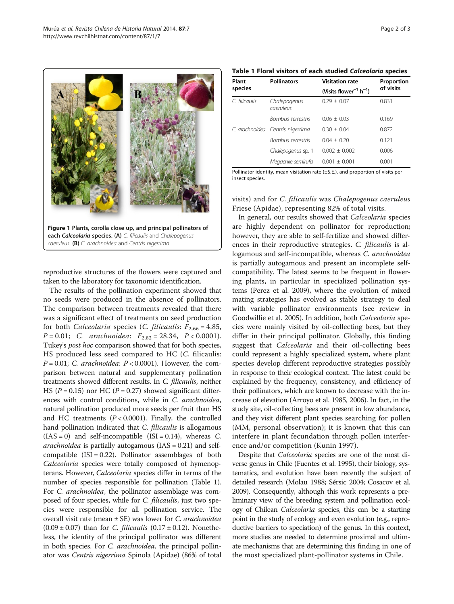<span id="page-1-0"></span>

reproductive structures of the flowers were captured and taken to the laboratory for taxonomic identification.

The results of the pollination experiment showed that no seeds were produced in the absence of pollinators. The comparison between treatments revealed that there was a significant effect of treatments on seed production for both Calceolaria species (C. filicaulis:  $F_{2,66} = 4.85$ ,  $P = 0.01$ ; C. arachnoidea:  $F_{2.82} = 28.34$ ,  $P < 0.0001$ ). Tukey's post hoc comparison showed that for both species, HS produced less seed compared to HC (C. filicaulis:  $P = 0.01$ ; C. arachnoidea:  $P < 0.0001$ ). However, the comparison between natural and supplementary pollination treatments showed different results. In C. filicaulis, neither HS ( $P = 0.15$ ) nor HC ( $P = 0.27$ ) showed significant differences with control conditions, while in C. arachnoidea, natural pollination produced more seeds per fruit than HS and HC treatments  $(P < 0.0001)$ . Finally, the controlled hand pollination indicated that *C. filicaulis* is allogamous  $(IAS = 0)$  and self-incompatible  $(ISI = 0.14)$ , whereas C. *arachnoidea* is partially autogamous  $(IAS = 0.21)$  and selfcompatible  $(ISI = 0.22)$ . Pollinator assemblages of both Calceolaria species were totally composed of hymenopterans. However, Calceolaria species differ in terms of the number of species responsible for pollination (Table 1). For C. arachnoidea, the pollinator assemblage was composed of four species, while for *C. filicaulis*, just two species were responsible for all pollination service. The overall visit rate (mean  $\pm$  SE) was lower for *C. arachnoidea* (0.09  $\pm$  0.07) than for *C. filicaulis* (0.17  $\pm$  0.12). Nonetheless, the identity of the principal pollinator was different in both species. For *C. arachnoidea*, the principal pollinator was Centris nigerrima Spinola (Apidae) (86% of total

| Table 1 Floral visitors of each studied Calceolaria species |  |
|-------------------------------------------------------------|--|
|-------------------------------------------------------------|--|

| Plant<br>species | <b>Pollinators</b>               | <b>Visitation rate</b>                         | Proportion<br>of visits |
|------------------|----------------------------------|------------------------------------------------|-------------------------|
|                  |                                  | (Visits flower <sup>-1</sup> h <sup>-1</sup> ) |                         |
| C. filicaulis    | Chalepogenus<br>caeruleus        | $0.29 + 0.07$                                  | 0.831                   |
|                  | <b>Bombus terrestris</b>         | $0.06 + 0.03$                                  | 0.169                   |
|                  | C. arachnoidea Centris nigerrima | $0.30 + 0.04$                                  | 0.872                   |
|                  | <b>Bombus terrestris</b>         | $0.04 + 0.20$                                  | 0.121                   |
|                  | Chalepogenus sp. 1               | $0.002 + 0.002$                                | 0.006                   |
|                  | Megachile semirufa               | $0.001 + 0.001$                                | 0.001                   |

Pollinator identity, mean visitation rate (±S.E.), and proportion of visits per insect species.

visits) and for C. filicaulis was Chalepogenus caeruleus Friese (Apidae), representing 82% of total visits.

In general, our results showed that Calceolaria species are highly dependent on pollinator for reproduction; however, they are able to self-fertilize and showed differences in their reproductive strategies. C. filicaulis is allogamous and self-incompatible, whereas C. arachnoidea is partially autogamous and present an incomplete selfcompatibility. The latest seems to be frequent in flowering plants, in particular in specialized pollination systems (Perez et al. [2009](#page-2-0)), where the evolution of mixed mating strategies has evolved as stable strategy to deal with variable pollinator environments (see review in Goodwillie et al. [2005\)](#page-2-0). In addition, both Calceolaria species were mainly visited by oil-collecting bees, but they differ in their principal pollinator. Globally, this finding suggest that *Calceolaria* and their oil-collecting bees could represent a highly specialized system, where plant species develop different reproductive strategies possibly in response to their ecological context. The latest could be explained by the frequency, consistency, and efficiency of their pollinators, which are known to decrease with the increase of elevation (Arroyo et al. [1985](#page-2-0), [2006\)](#page-2-0). In fact, in the study site, oil-collecting bees are present in low abundance, and they visit different plant species searching for pollen (MM, personal observation); it is known that this can interfere in plant fecundation through pollen interference and/or competition (Kunin [1997\)](#page-2-0).

Despite that Calceolaria species are one of the most diverse genus in Chile (Fuentes et al. [1995](#page-2-0)), their biology, systematics, and evolution have been recently the subject of detailed research (Molau [1988](#page-2-0); Sérsic [2004](#page-2-0); Cosacov et al. [2009\)](#page-2-0). Consequently, although this work represents a preliminary view of the breeding system and pollination ecology of Chilean Calceolaria species, this can be a starting point in the study of ecology and even evolution (e.g., reproductive barriers to speciation) of the genus. In this context, more studies are needed to determine proximal and ultimate mechanisms that are determining this finding in one of the most specialized plant-pollinator systems in Chile.